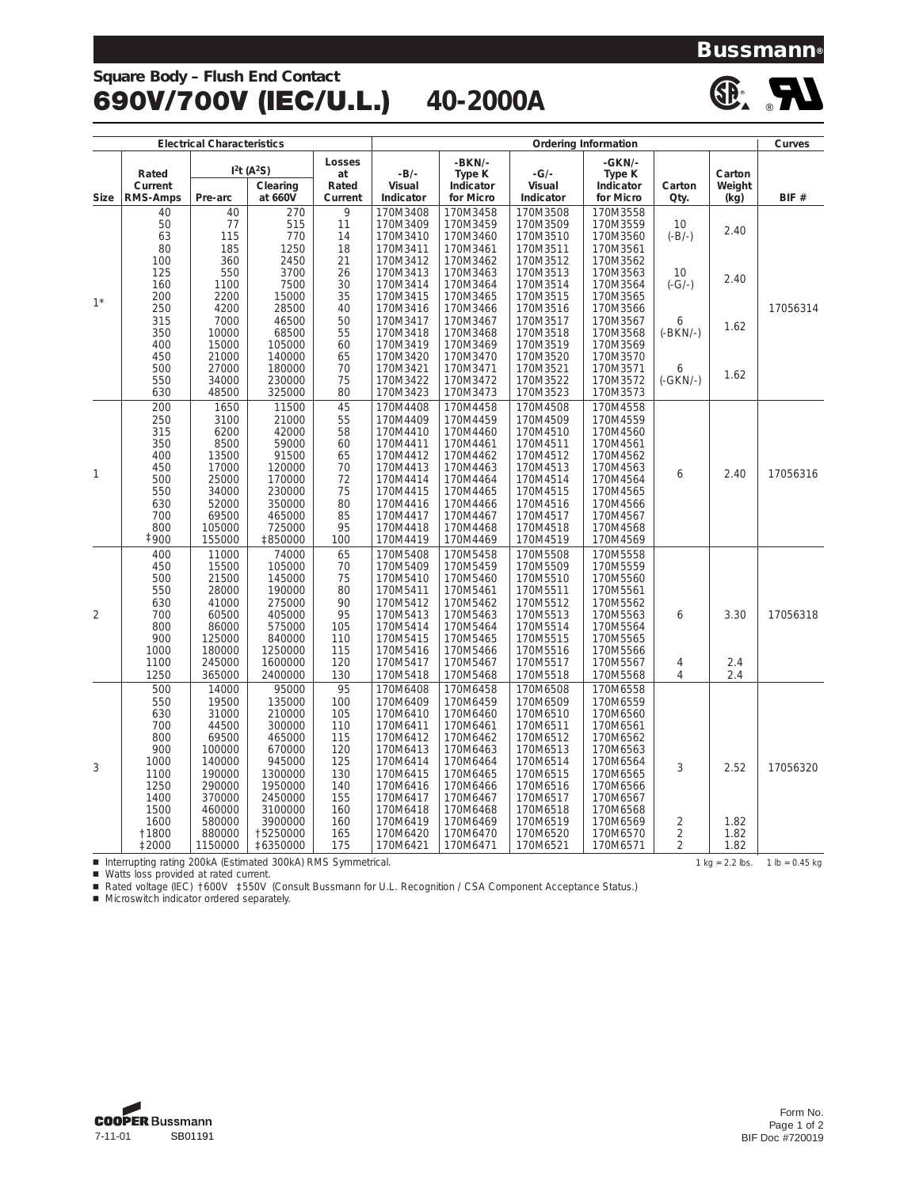# **Square Body – Flush End Contact** 690V/700V (IEC/U.L.) **40-2000A**





**Bussmann®**

| <b>Electrical Characteristics</b> |                                                              |                 |                                    |                  | <b>Ordering Information</b> |                        |                      |                        |                |                   | Curves           |
|-----------------------------------|--------------------------------------------------------------|-----------------|------------------------------------|------------------|-----------------------------|------------------------|----------------------|------------------------|----------------|-------------------|------------------|
|                                   |                                                              |                 |                                    | Losses           |                             | -BKN/-                 |                      | -GKN/-                 |                |                   |                  |
|                                   | Rated                                                        |                 | I <sup>2</sup> t(A <sup>2</sup> S) | at               | $-B/-$                      | Type K                 | $-G/-$               | Type K                 |                | Carton            |                  |
| <b>Size</b>                       | Current<br><b>RMS-Amps</b>                                   | Pre-arc         | Clearing<br>at 660V                | Rated<br>Current | Visual<br>Indicator         | Indicator<br>for Micro | Visual<br>Indicator  | Indicator<br>for Micro | Carton<br>Qty. | Weight<br>(kg)    | BIF #            |
|                                   | 40                                                           | 40              | 270                                | 9                | 170M3408                    | 170M3458               | 170M3508             | 170M3558               |                |                   |                  |
|                                   | 50                                                           | 77              | 515                                | 11               | 170M3409                    | 170M3459               | 170M3509             | 170M3559               | 10             |                   |                  |
|                                   | 63                                                           | 115             | 770                                | 14               | 170M3410                    | 170M3460               | 170M3510             | 170M3560               | $(-B/-)$       | 2.40              |                  |
|                                   | 80                                                           | 185             | 1250                               | 18               | 170M3411                    | 170M3461               | 170M3511             | 170M3561               |                |                   |                  |
| $1^*$                             | 100                                                          | 360             | 2450                               | 21               | 170M3412                    | 170M3462               | 170M3512             | 170M3562               |                |                   |                  |
|                                   | 125                                                          | 550             | 3700                               | 26               | 170M3413                    | 170M3463               | 170M3513             | 170M3563               | 10             | 2.40              |                  |
|                                   | 160                                                          | 1100            | 7500                               | 30               | 170M3414                    | 170M3464               | 170M3514             | 170M3564               | $(-G/-)$       |                   |                  |
|                                   | 200                                                          | 2200            | 15000                              | 35               | 170M3415                    | 170M3465               | 170M3515             | 170M3565               |                |                   |                  |
|                                   | 250                                                          | 4200            | 28500                              | 40               | 170M3416                    | 170M3466               | 170M3516             | 170M3566               |                |                   | 17056314         |
|                                   | 315                                                          | 7000            | 46500                              | 50               | 170M3417                    | 170M3467               | 170M3517             | 170M3567               | 6              | 1.62              |                  |
|                                   | 350                                                          | 10000           | 68500                              | 55               | 170M3418                    | 170M3468               | 170M3518             | 170M3568               | $(-BKN/-)$     |                   |                  |
|                                   | 400                                                          | 15000           | 105000                             | 60               | 170M3419                    | 170M3469               | 170M3519             | 170M3569               |                |                   |                  |
|                                   | 450                                                          | 21000           | 140000                             | 65               | 170M3420                    | 170M3470               | 170M3520             | 170M3570               |                |                   |                  |
|                                   | 500                                                          | 27000           | 180000                             | 70               | 170M3421                    | 170M3471               | 170M3521             | 170M3571               | 6              | 1.62              |                  |
|                                   | 550                                                          | 34000           | 230000                             | 75               | 170M3422                    | 170M3472               | 170M3522             | 170M3572               | (-GKN/-)       |                   |                  |
|                                   | 630                                                          | 48500           | 325000                             | 80               | 170M3423                    | 170M3473               | 170M3523             | 170M3573               |                |                   |                  |
|                                   | 200                                                          | 1650            | 11500                              | 45               | 170M4408                    | 170M4458               | 170M4508             | 170M4558               |                |                   |                  |
|                                   | 250                                                          | 3100            | 21000                              | 55               | 170M4409                    | 170M4459               | 170M4509             | 170M4559               |                |                   |                  |
|                                   | 315                                                          | 6200            | 42000                              | 58               | 170M4410                    | 170M4460               | 170M4510             | 170M4560               |                |                   |                  |
|                                   | 350                                                          | 8500            | 59000                              | 60               | 170M4411                    | 170M4461               | 170M4511             | 170M4561               |                |                   |                  |
|                                   | 400                                                          | 13500           | 91500                              | 65               | 170M4412                    | 170M4462               | 170M4512             | 170M4562               |                |                   |                  |
| 1                                 | 450                                                          | 17000           | 120000                             | 70               | 170M4413                    | 170M4463               | 170M4513             | 170M4563               | 6              | 2.40              | 17056316         |
|                                   | 500                                                          | 25000           | 170000                             | 72               | 170M4414                    | 170M4464               | 170M4514             | 170M4564               |                |                   |                  |
|                                   | 550                                                          | 34000           | 230000                             | 75               | 170M4415                    | 170M4465               | 170M4515             | 170M4565               |                |                   |                  |
|                                   | 630                                                          | 52000           | 350000                             | 80               | 170M4416                    | 170M4466               | 170M4516             | 170M4566               |                |                   |                  |
|                                   | 700                                                          | 69500           | 465000                             | 85<br>95         | 170M4417                    | 170M4467               | 170M4517             | 170M4567               |                |                   |                  |
|                                   | 800<br><b>‡900</b>                                           | 105000          | 725000                             |                  | 170M4418                    | 170M4468               | 170M4518             | 170M4568               |                |                   |                  |
|                                   |                                                              | 155000          | ‡850000                            | 100              | 170M4419                    | 170M4469               | 170M4519             | 170M4569               |                |                   |                  |
|                                   | 400                                                          | 11000           | 74000                              | 65               | 170M5408                    | 170M5458               | 170M5508             | 170M5558               |                |                   |                  |
|                                   | 450                                                          | 15500           | 105000                             | 70               | 170M5409                    | 170M5459               | 170M5509             | 170M5559               |                |                   |                  |
|                                   | 500                                                          | 21500           | 145000                             | 75<br>80         | 170M5410                    | 170M5460               | 170M5510             | 170M5560               |                |                   |                  |
|                                   | 550                                                          | 28000           | 190000                             |                  | 170M5411                    | 170M5461               | 170M5511             | 170M5561               |                |                   |                  |
|                                   | 630                                                          | 41000           | 275000                             | 90<br>95         | 170M5412                    | 170M5462               | 170M5512             | 170M5562               |                |                   |                  |
| $\overline{2}$                    | 700<br>800                                                   | 60500           | 405000<br>575000                   | 105              | 170M5413                    | 170M5463               | 170M5513             | 170M5563               | 6              | 3.30              | 17056318         |
|                                   | 900                                                          | 86000<br>125000 | 840000                             | 110              | 170M5414<br>170M5415        | 170M5464<br>170M5465   | 170M5514<br>170M5515 | 170M5564<br>170M5565   |                |                   |                  |
|                                   | 1000                                                         | 180000          | 1250000                            | 115              | 170M5416                    | 170M5466               | 170M5516             | 170M5566               |                |                   |                  |
|                                   | 1100                                                         | 245000          | 1600000                            | 120              | 170M5417                    | 170M5467               | 170M5517             | 170M5567               | $\overline{4}$ | 2.4               |                  |
|                                   | 1250                                                         | 365000          | 2400000                            | 130              | 170M5418                    | 170M5468               | 170M5518             | 170M5568               | 4              | 2.4               |                  |
|                                   | 500                                                          | 14000           | 95000                              | 95               | 170M6408                    | 170M6458               | 170M6508             | 170M6558               |                |                   |                  |
|                                   | 550                                                          | 19500           | 135000                             | 100              | 170M6409                    | 170M6459               | 170M6509             | 170M6559               |                |                   |                  |
|                                   | 630                                                          | 31000           | 210000                             | 105              | 170M6410                    | 170M6460               | 170M6510             | 170M6560               |                |                   |                  |
|                                   | 700                                                          | 44500           | 300000                             | 110              | 170M6411                    | 170M6461               | 170M6511             | 170M6561               |                |                   |                  |
|                                   | 800                                                          | 69500           | 465000                             | 115              | 170M6412                    | 170M6462               | 170M6512             | 170M6562               |                |                   |                  |
|                                   | 900                                                          | 100000          | 670000                             | 120              | 170M6413                    | 170M6463               | 170M6513             | 170M6563               |                |                   |                  |
|                                   | 1000                                                         | 140000          | 945000                             | 125              | 170M6414                    | 170M6464               | 170M6514             | 170M6564               |                |                   |                  |
| 3                                 | 1100                                                         | 190000          | 1300000                            | 130              | 170M6415                    | 170M6465               | 170M6515             | 170M6565               | 3              | 2.52              | 17056320         |
|                                   | 1250                                                         | 290000          | 1950000                            | 140              | 170M6416                    | 170M6466               | 170M6516             | 170M6566               |                |                   |                  |
|                                   | 1400                                                         | 370000          | 2450000                            | 155              | 170M6417                    | 170M6467               | 170M6517             | 170M6567               |                |                   |                  |
|                                   | 1500                                                         | 460000          | 3100000                            | 160              | 170M6418                    | 170M6468               | 170M6518             | 170M6568               |                |                   |                  |
|                                   | 1600                                                         | 580000          | 3900000                            | 160              | 170M6419                    | 170M6469               | 170M6519             | 170M6569               | 2              | 1.82              |                  |
|                                   | †1800                                                        | 880000          | 15250000                           | 165              | 170M6420                    | 170M6470               | 170M6520             | 170M6570               | $\overline{c}$ | 1.82              |                  |
|                                   | <b>‡2000</b>                                                 | 1150000         | ‡6350000                           | 175              | 170M6421                    | 170M6471               | 170M6521             | 170M6571               | $\overline{2}$ | 1.82              |                  |
|                                   | Interrupting rating 200kA (Estimated 300kA) RMS Symmetrical. |                 |                                    |                  |                             |                        |                      |                        |                | $1 kg = 2.2 lbs.$ | $1 lb = 0.45 kg$ |

■ Watts loss provided at rated current.

■ Rated voltage (IEC) †600V ‡550V (Consult Bussmann for U.L. Recognition / CSA Component Acceptance Status.)

 $\blacksquare$  Microswitch indicator ordered separately.

**COOPER Bussmann** 7-11-01 SB01191

Form No. Page 1 of 2 BIF Doc #720019